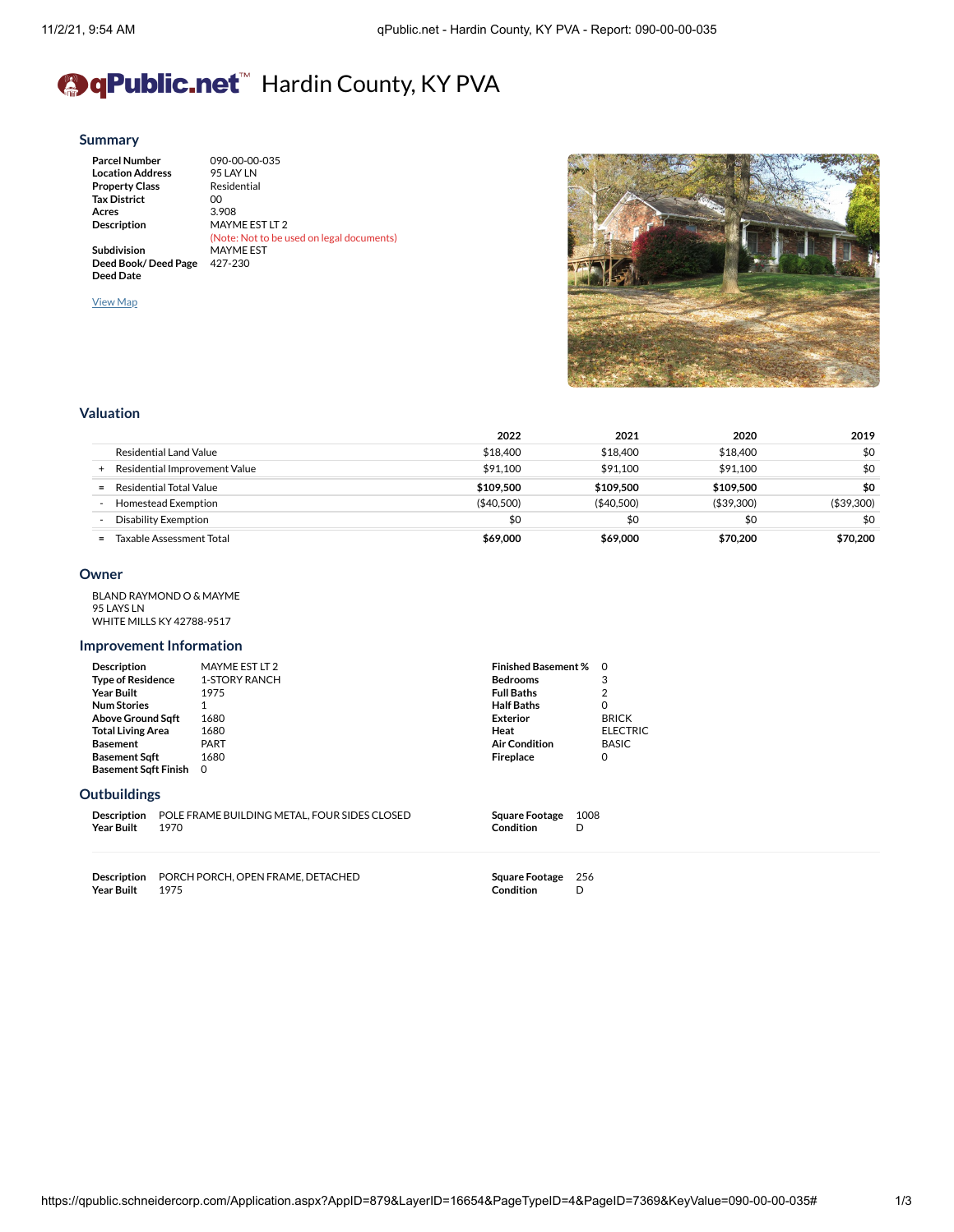# <sup>●</sup> Public.net<sup>™</sup> Hardin County, KY PVA

### **[Summary](https://qpublic.schneidercorp.com/Application.aspx?AppID=879&LayerID=16654&PageTypeID=4&PageID=7369&Q=1547169407&KeyValue=090-00-00-035)**

| <b>Parcel Number</b>    | 090-00-00-035                             |
|-------------------------|-------------------------------------------|
| <b>Location Address</b> | 95 LAY LN                                 |
| <b>Property Class</b>   | Residential                               |
| <b>Tax District</b>     | OO.                                       |
| Acres                   | 3.908                                     |
| <b>Description</b>      | MAYME EST LT 2                            |
|                         | (Note: Not to be used on legal documents) |
| Subdivision             | <b>MAYME EST</b>                          |
| Deed Book/Deed Page     | 427-230                                   |
| <b>Deed Date</b>        |                                           |

[View](https://qpublic.schneidercorp.com/Application.aspx?AppID=879&LayerID=16654&PageTypeID=1&PageID=7366&Q=170213688&KeyValue=090-00-00-035) Map



## **[Valuation](https://qpublic.schneidercorp.com/Application.aspx?AppID=879&LayerID=16654&PageTypeID=4&PageID=7369&Q=170213688&KeyValue=090-00-00-035)**

|                                      | 2022       | 2021        | 2020        | 2019        |
|--------------------------------------|------------|-------------|-------------|-------------|
| Residential Land Value               | \$18,400   | \$18,400    | \$18,400    | \$0         |
| Residential Improvement Value<br>$+$ | \$91.100   | \$91.100    | \$91.100    | \$0         |
| Residential Total Value<br>$=$       | \$109.500  | \$109.500   | \$109.500   | \$0         |
| Homestead Exemption                  | (\$40,500) | ( \$40,500) | ( \$39,300) | ( \$39,300) |
| Disability Exemption                 | \$0        | \$0         | \$0         | \$0         |
| Taxable Assessment Total<br>$=$      | \$69,000   | \$69,000    | \$70,200    | \$70,200    |

### **[Owner](https://qpublic.schneidercorp.com/Application.aspx?AppID=879&LayerID=16654&PageTypeID=4&PageID=7369&Q=1966325444&KeyValue=090-00-00-035)**

| BI AND RAYMOND O & MAYME         |
|----------------------------------|
| 95 LAYS LN                       |
| <b>WHITE MILLS KY 42788-9517</b> |

## **Improvement Information**

| <b>Description</b>          | MAYME EST LT 2 | <b>Finished Basement % 0</b> |                 |
|-----------------------------|----------------|------------------------------|-----------------|
| <b>Type of Residence</b>    | 1-STORY RANCH  | <b>Bedrooms</b>              | 3               |
| <b>Year Built</b>           | 1975           | <b>Full Baths</b>            | 2               |
| <b>Num Stories</b>          |                | <b>Half Baths</b>            | $\Omega$        |
| <b>Above Ground Sqft</b>    | 1680           | <b>Exterior</b>              | <b>BRICK</b>    |
| <b>Total Living Area</b>    | 1680           | Heat                         | <b>ELECTRIC</b> |
| <b>Basement</b>             | PART           | <b>Air Condition</b>         | <b>BASIC</b>    |
| <b>Basement Sgft</b>        | 1680           | <b>Fireplace</b>             | 0               |
| <b>Basement Sqft Finish</b> | - 0            |                              |                 |
|                             |                |                              |                 |

# **[Outbuildings](https://qpublic.schneidercorp.com/Application.aspx?AppID=879&LayerID=16654&PageTypeID=4&PageID=7369&Q=1966325444&KeyValue=090-00-00-035)**

|                  | <b>Description POLE FRAME BUILDING METAL. FOUR SIDES CLOSED</b> | Square Footage 1008 |  |
|------------------|-----------------------------------------------------------------|---------------------|--|
| Year Built  1970 |                                                                 | Condition           |  |

**Description** PORCH PORCH, OPEN FRAME, DETACHED **Year Built** 

**Square Footage** 256 **Condition** D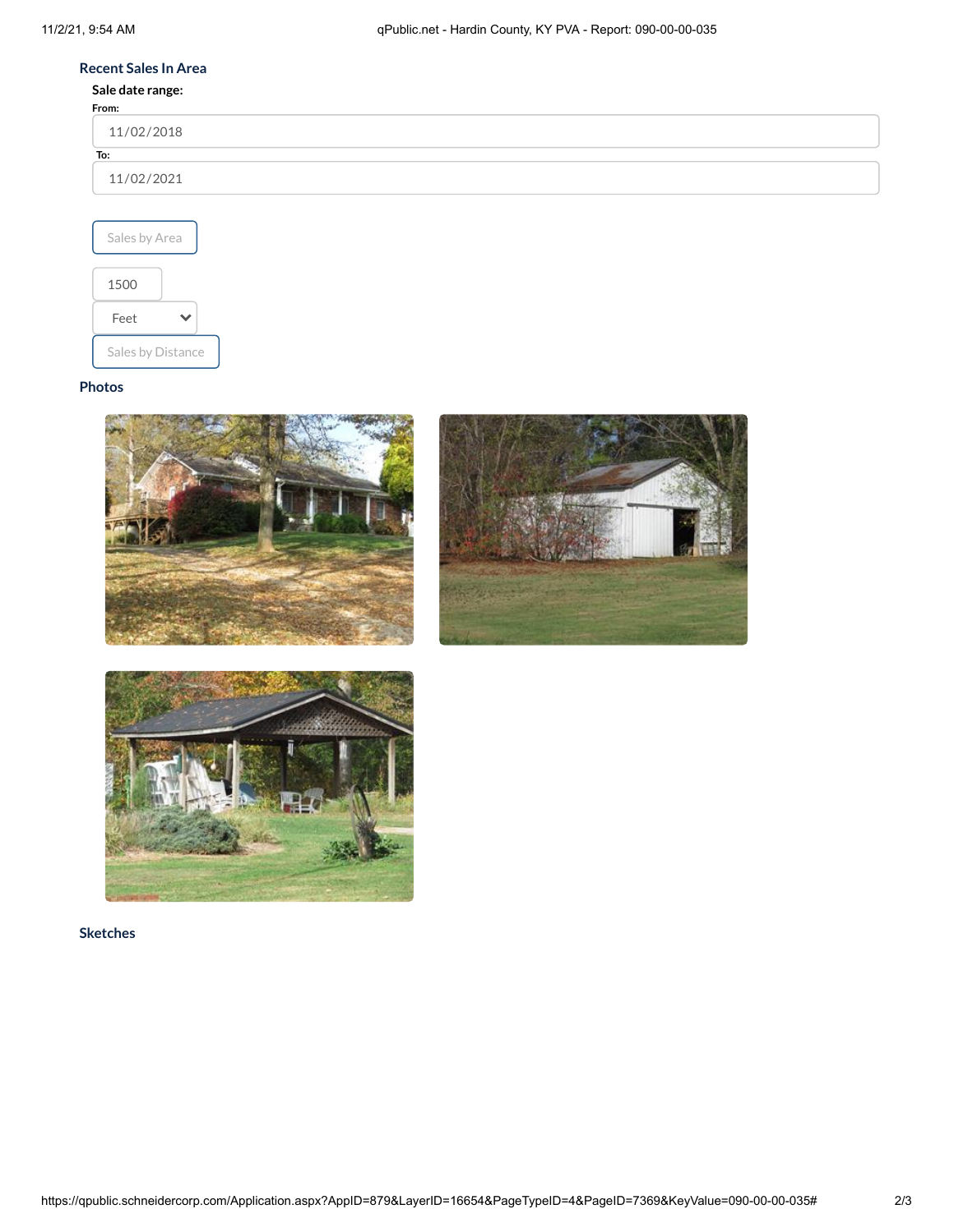# **[Recent](https://qpublic.schneidercorp.com/Application.aspx?AppID=879&LayerID=16654&PageTypeID=4&PageID=7369&Q=1966325444&KeyValue=090-00-00-035) Sales In Area**

# **Sale date range:**

| From:      |  |  |  |
|------------|--|--|--|
| 11/02/2018 |  |  |  |
| To:        |  |  |  |
| 11/02/2021 |  |  |  |
|            |  |  |  |



# **[Photos](https://qpublic.schneidercorp.com/Application.aspx?AppID=879&LayerID=16654&PageTypeID=4&PageID=7369&Q=1966325444&KeyValue=090-00-00-035)**







**[Sketches](https://qpublic.schneidercorp.com/Application.aspx?AppID=879&LayerID=16654&PageTypeID=4&PageID=7369&Q=589369725&KeyValue=090-00-00-035)**